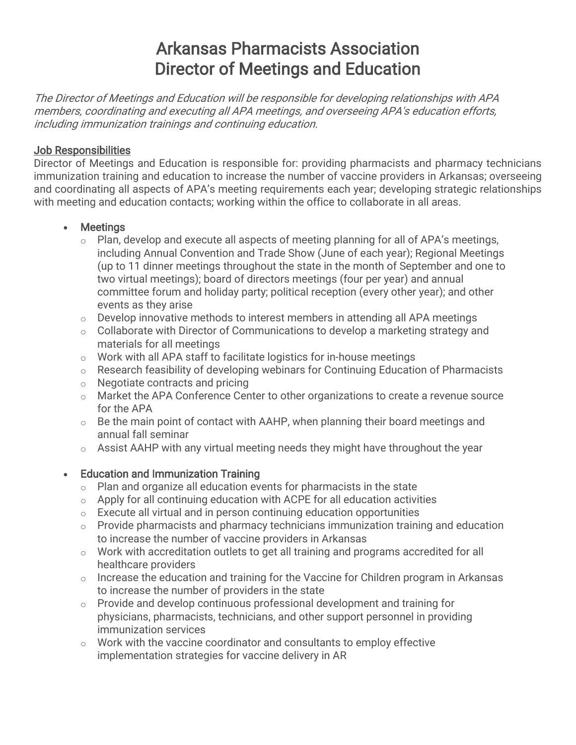# Arkansas Pharmacists Association Director of Meetings and Education

The Director of Meetings and Education will be responsible for developing relationships with APA members, coordinating and executing all APA meetings, and overseeing APA's education efforts, including immunization trainings and continuing education.

#### Job Responsibilities

Director of Meetings and Education is responsible for: providing pharmacists and pharmacy technicians immunization training and education to increase the number of vaccine providers in Arkansas; overseeing and coordinating all aspects of APA's meeting requirements each year; developing strategic relationships with meeting and education contacts; working within the office to collaborate in all areas.

### • Meetings

- $\circ$  Plan, develop and execute all aspects of meeting planning for all of APA's meetings, including Annual Convention and Trade Show (June of each year); Regional Meetings (up to 11 dinner meetings throughout the state in the month of September and one to two virtual meetings); board of directors meetings (four per year) and annual committee forum and holiday party; political reception (every other year); and other events as they arise
- o Develop innovative methods to interest members in attending all APA meetings
- o Collaborate with Director of Communications to develop a marketing strategy and materials for all meetings
- o Work with all APA staff to facilitate logistics for in-house meetings
- o Research feasibility of developing webinars for Continuing Education of Pharmacists
- o Negotiate contracts and pricing
- o Market the APA Conference Center to other organizations to create a revenue source for the APA
- $\circ$  Be the main point of contact with AAHP, when planning their board meetings and annual fall seminar
- $\circ$  Assist AAHP with any virtual meeting needs they might have throughout the year

## • Education and Immunization Training

- o Plan and organize all education events for pharmacists in the state
- $\circ$  Apply for all continuing education with ACPE for all education activities
- $\circ$  Execute all virtual and in person continuing education opportunities
- $\circ$  Provide pharmacists and pharmacy technicians immunization training and education to increase the number of vaccine providers in Arkansas
- o Work with accreditation outlets to get all training and programs accredited for all healthcare providers
- $\circ$  Increase the education and training for the Vaccine for Children program in Arkansas to increase the number of providers in the state
- o Provide and develop continuous professional development and training for physicians, pharmacists, technicians, and other support personnel in providing immunization services
- $\circ$  Work with the vaccine coordinator and consultants to employ effective implementation strategies for vaccine delivery in AR